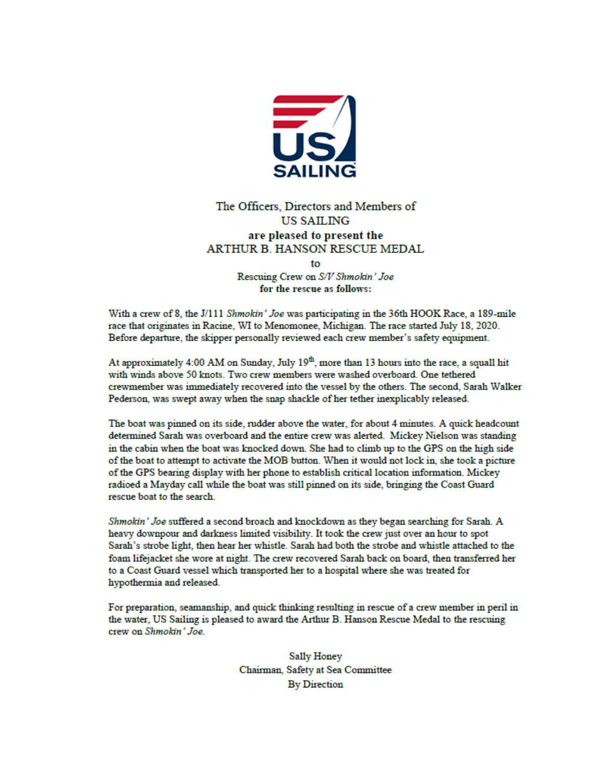

### The Officers. Directors and Members of **US SAILING** are pleased to present the **ARTHUR B. HANSON RESCUE MEDAL**

 $f_{\Omega}$ Rescuing Crew on S/V Shmokin' Joe

for the rescue as follows:

With a crew of 8, the J/111 Shmokin' Joe was participating in the 36th HOOK Race, a 189-mile race that originates in Racine, WI to Menomonee, Michigan. The race started July 18, 2020. Before departure, the skipper personally reviewed each crew member's safety equipment.

At approximately 4:00 AM on Sunday, July 19<sup>th</sup>, more than 13 hours into the race, a squall hit with winds above 50 knots. Two crew members were washed overboard. One tethered crewmember was immediately recovered into the vessel by the others. The second, Sarah Walker Pederson, was swept away when the snap shackle of her tether inexplicably released.

The boat was pinned on its side, rudder above the water, for about 4 minutes. A quick headcount determined Sarah was overboard and the entire crew was alerted. Mickey Nielson was standing in the cabin when the boat was knocked down. She had to climb up to the GPS on the high side of the boat to attempt to activate the MOB button. When it would not lock in, she took a picture of the GPS bearing display with her phone to establish critical location information. Mickey radioed a Mayday call while the boat was still pinned on its side, bringing the Coast Guard rescue boat to the search.

Shmokin' Joe suffered a second broach and knockdown as they began searching for Sarah. A heavy downpour and darkness limited visibility. It took the crew just over an hour to spot Sarah's strobe light, then hear her whistle. Sarah had both the strobe and whistle attached to the foam lifejacket she wore at night. The crew recovered Sarah back on board, then transferred her to a Coast Guard vessel which transported her to a hospital where she was treated for hypothermia and released.

For preparation, seamanship, and quick thinking resulting in rescue of a crew member in peril in the water, US Sailing is pleased to award the Arthur B. Hanson Rescue Medal to the rescuing crew on Shmokin' Joe.

> Sally Honey Chairman, Safety at Sea Committee **By Direction**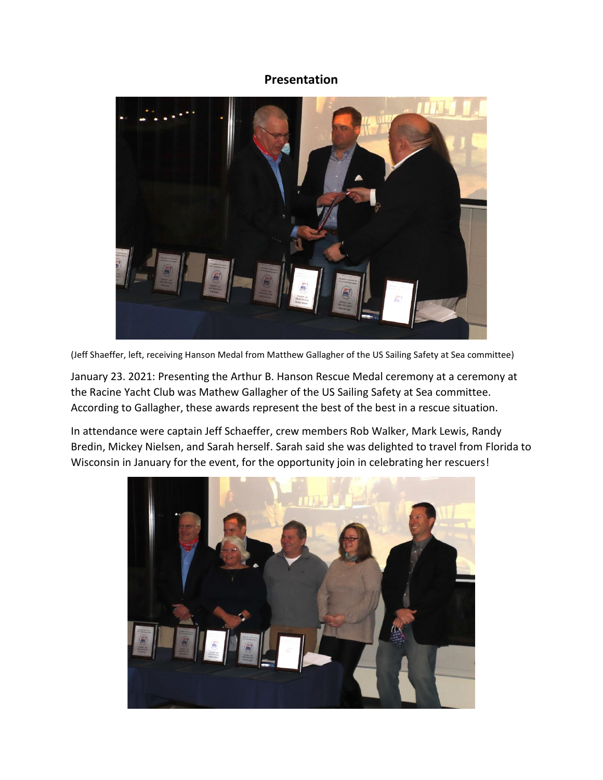### **Presentation**



(Jeff Shaeffer, left, receiving Hanson Medal from Matthew Gallagher of the US Sailing Safety at Sea committee)

January 23. 2021: Presenting the Arthur B. Hanson Rescue Medal ceremony at a ceremony at the Racine Yacht Club was Mathew Gallagher of the US Sailing Safety at Sea committee. According to Gallagher, these awards represent the best of the best in a rescue situation.

In attendance were captain Jeff Schaeffer, crew members Rob Walker, Mark Lewis, Randy Bredin, Mickey Nielsen, and Sarah herself. Sarah said she was delighted to travel from Florida to Wisconsin in January for the event, for the opportunity join in celebrating her rescuers!

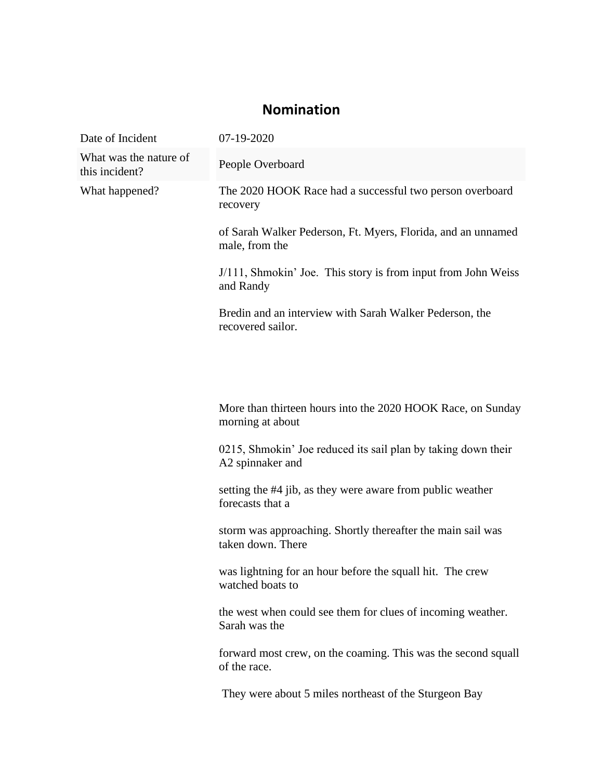## **Nomination**

| Date of Incident                         | 07-19-2020                                                                        |
|------------------------------------------|-----------------------------------------------------------------------------------|
| What was the nature of<br>this incident? | People Overboard                                                                  |
| What happened?                           | The 2020 HOOK Race had a successful two person overboard<br>recovery              |
|                                          | of Sarah Walker Pederson, Ft. Myers, Florida, and an unnamed<br>male, from the    |
|                                          | J/111, Shmokin' Joe. This story is from input from John Weiss<br>and Randy        |
|                                          | Bredin and an interview with Sarah Walker Pederson, the<br>recovered sailor.      |
|                                          |                                                                                   |
|                                          |                                                                                   |
|                                          | More than thirteen hours into the 2020 HOOK Race, on Sunday<br>morning at about   |
|                                          | 0215, Shmokin' Joe reduced its sail plan by taking down their<br>A2 spinnaker and |
|                                          | setting the #4 jib, as they were aware from public weather<br>forecasts that a    |
|                                          | storm was approaching. Shortly thereafter the main sail was<br>taken down. There  |
|                                          | was lightning for an hour before the squall hit. The crew<br>watched boats to     |
|                                          | the west when could see them for clues of incoming weather.<br>Sarah was the      |
|                                          | forward most crew, on the coaming. This was the second squall<br>of the race.     |
|                                          | They were about 5 miles northeast of the Sturgeon Bay                             |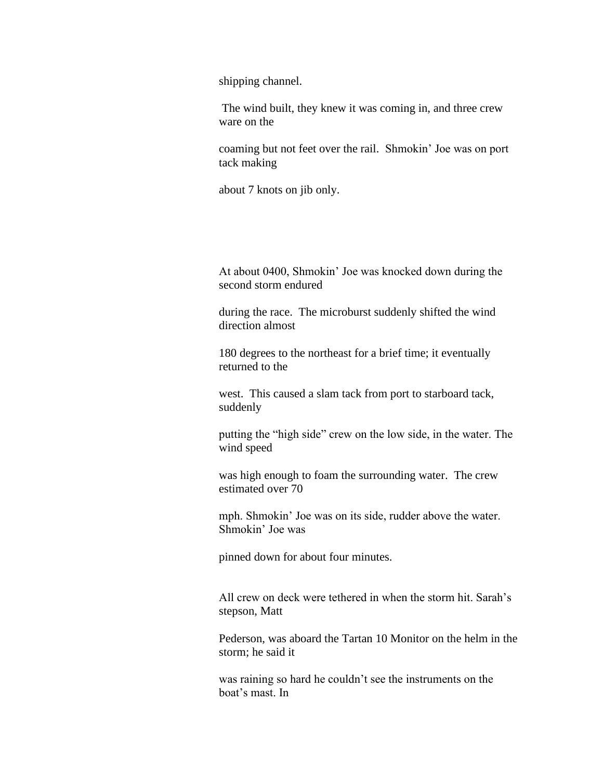shipping channel.

The wind built, they knew it was coming in, and three crew ware on the

coaming but not feet over the rail. Shmokin' Joe was on port tack making

about 7 knots on jib only.

At about 0400, Shmokin' Joe was knocked down during the second storm endured

during the race. The microburst suddenly shifted the wind direction almost

180 degrees to the northeast for a brief time; it eventually returned to the

west. This caused a slam tack from port to starboard tack, suddenly

putting the "high side" crew on the low side, in the water. The wind speed

was high enough to foam the surrounding water. The crew estimated over 70

mph. Shmokin' Joe was on its side, rudder above the water. Shmokin' Joe was

pinned down for about four minutes.

All crew on deck were tethered in when the storm hit. Sarah's stepson, Matt

Pederson, was aboard the Tartan 10 Monitor on the helm in the storm; he said it

was raining so hard he couldn't see the instruments on the boat's mast. In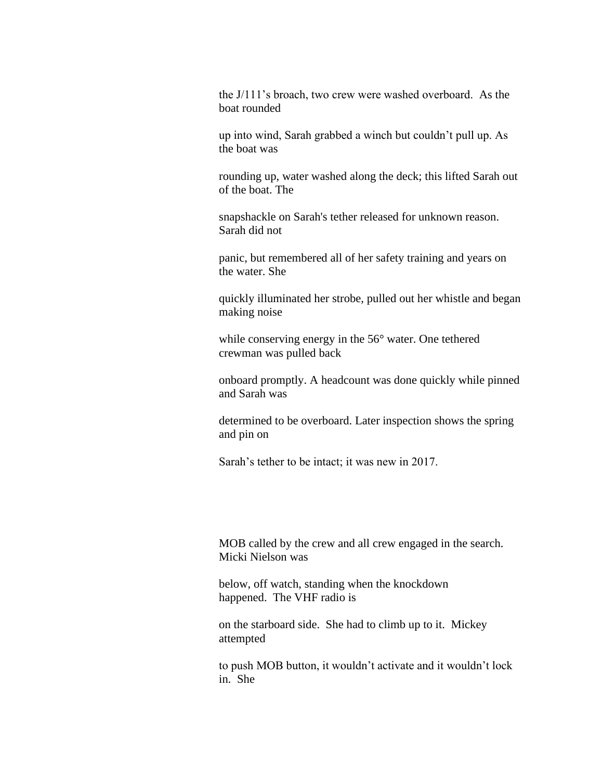the J/111's broach, two crew were washed overboard. As the boat rounded

up into wind, Sarah grabbed a winch but couldn't pull up. As the boat was

rounding up, water washed along the deck; this lifted Sarah out of the boat. The

snapshackle on Sarah's tether released for unknown reason. Sarah did not

panic, but remembered all of her safety training and years on the water. She

quickly illuminated her strobe, pulled out her whistle and began making noise

while conserving energy in the 56° water. One tethered crewman was pulled back

onboard promptly. A headcount was done quickly while pinned and Sarah was

determined to be overboard. Later inspection shows the spring and pin on

Sarah's tether to be intact; it was new in 2017.

MOB called by the crew and all crew engaged in the search. Micki Nielson was

below, off watch, standing when the knockdown happened. The VHF radio is

on the starboard side. She had to climb up to it. Mickey attempted

to push MOB button, it wouldn't activate and it wouldn't lock in. She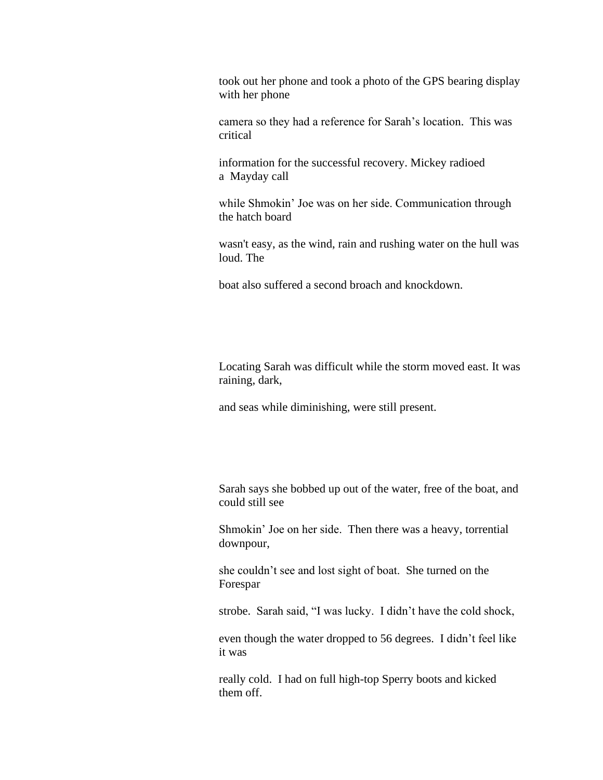took out her phone and took a photo of the GPS bearing display with her phone

camera so they had a reference for Sarah's location. This was critical

information for the successful recovery. Mickey radioed a Mayday call

while Shmokin' Joe was on her side. Communication through the hatch board

wasn't easy, as the wind, rain and rushing water on the hull was loud. The

boat also suffered a second broach and knockdown.

Locating Sarah was difficult while the storm moved east. It was raining, dark,

and seas while diminishing, were still present.

Sarah says she bobbed up out of the water, free of the boat, and could still see

Shmokin' Joe on her side. Then there was a heavy, torrential downpour,

she couldn't see and lost sight of boat. She turned on the Forespar

strobe. Sarah said, "I was lucky. I didn't have the cold shock,

even though the water dropped to 56 degrees. I didn't feel like it was

really cold. I had on full high-top Sperry boots and kicked them off.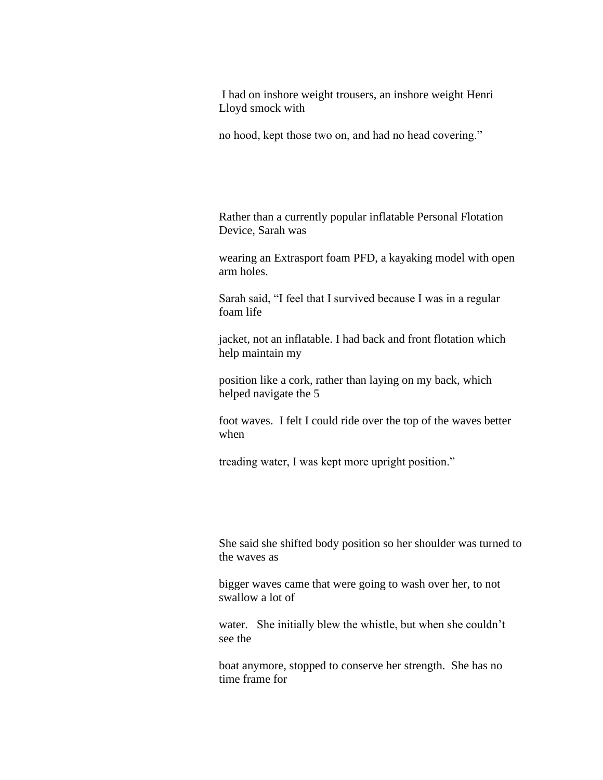I had on inshore weight trousers, an inshore weight Henri Lloyd smock with

no hood, kept those two on, and had no head covering."

Rather than a currently popular inflatable Personal Flotation Device, Sarah was

wearing an Extrasport foam PFD, a kayaking model with open arm holes.

Sarah said, "I feel that I survived because I was in a regular foam life

jacket, not an inflatable. I had back and front flotation which help maintain my

position like a cork, rather than laying on my back, which helped navigate the 5

foot waves. I felt I could ride over the top of the waves better when

treading water, I was kept more upright position."

She said she shifted body position so her shoulder was turned to the waves as

bigger waves came that were going to wash over her, to not swallow a lot of

water. She initially blew the whistle, but when she couldn't see the

boat anymore, stopped to conserve her strength. She has no time frame for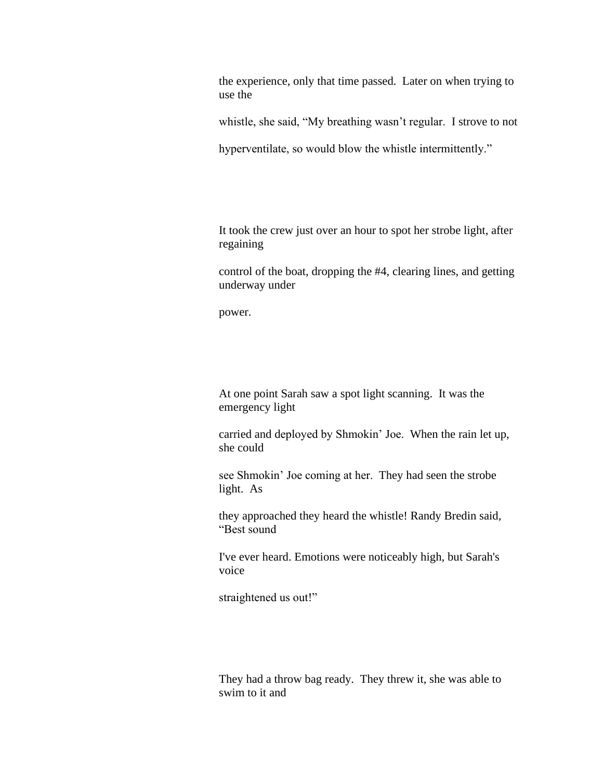the experience, only that time passed. Later on when trying to use the

whistle, she said, "My breathing wasn't regular. I strove to not

hyperventilate, so would blow the whistle intermittently."

It took the crew just over an hour to spot her strobe light, after regaining

control of the boat, dropping the #4, clearing lines, and getting underway under

power.

At one point Sarah saw a spot light scanning. It was the emergency light

carried and deployed by Shmokin' Joe. When the rain let up, she could

see Shmokin' Joe coming at her. They had seen the strobe light. As

they approached they heard the whistle! Randy Bredin said, "Best sound

I've ever heard. Emotions were noticeably high, but Sarah's voice

straightened us out!"

They had a throw bag ready. They threw it, she was able to swim to it and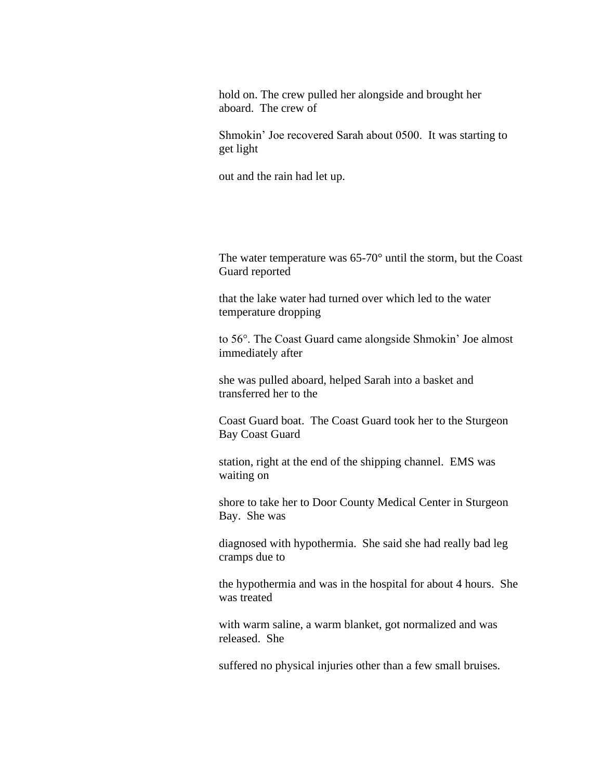hold on. The crew pulled her alongside and brought her aboard. The crew of

Shmokin' Joe recovered Sarah about 0500. It was starting to get light

out and the rain had let up.

The water temperature was 65-70° until the storm, but the Coast Guard reported

that the lake water had turned over which led to the water temperature dropping

to 56°. The Coast Guard came alongside Shmokin' Joe almost immediately after

she was pulled aboard, helped Sarah into a basket and transferred her to the

Coast Guard boat. The Coast Guard took her to the Sturgeon Bay Coast Guard

station, right at the end of the shipping channel. EMS was waiting on

shore to take her to Door County Medical Center in Sturgeon Bay. She was

diagnosed with hypothermia. She said she had really bad leg cramps due to

the hypothermia and was in the hospital for about 4 hours. She was treated

with warm saline, a warm blanket, got normalized and was released. She

suffered no physical injuries other than a few small bruises.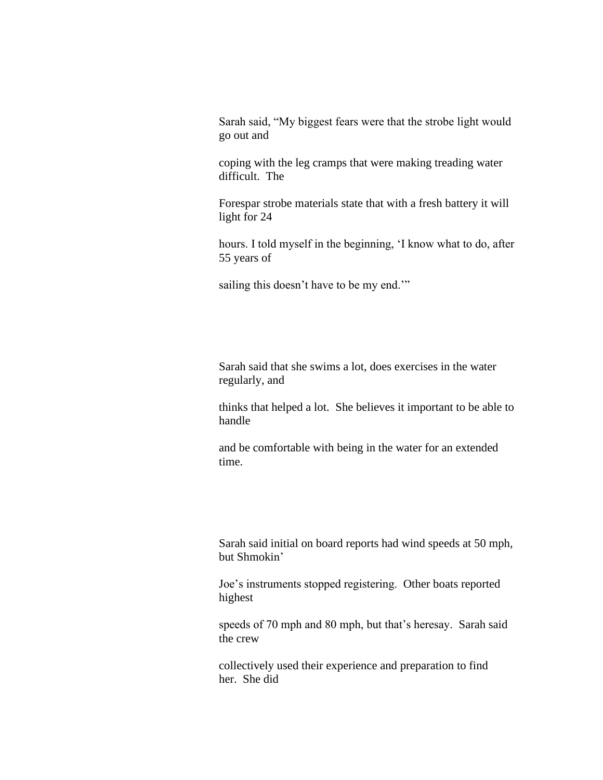Sarah said, "My biggest fears were that the strobe light would go out and

coping with the leg cramps that were making treading water difficult. The

Forespar strobe materials state that with a fresh battery it will light for 24

hours. I told myself in the beginning, 'I know what to do, after 55 years of

sailing this doesn't have to be my end."

Sarah said that she swims a lot, does exercises in the water regularly, and

thinks that helped a lot. She believes it important to be able to handle

and be comfortable with being in the water for an extended time.

Sarah said initial on board reports had wind speeds at 50 mph, but Shmokin'

Joe's instruments stopped registering. Other boats reported highest

speeds of 70 mph and 80 mph, but that's heresay. Sarah said the crew

collectively used their experience and preparation to find her. She did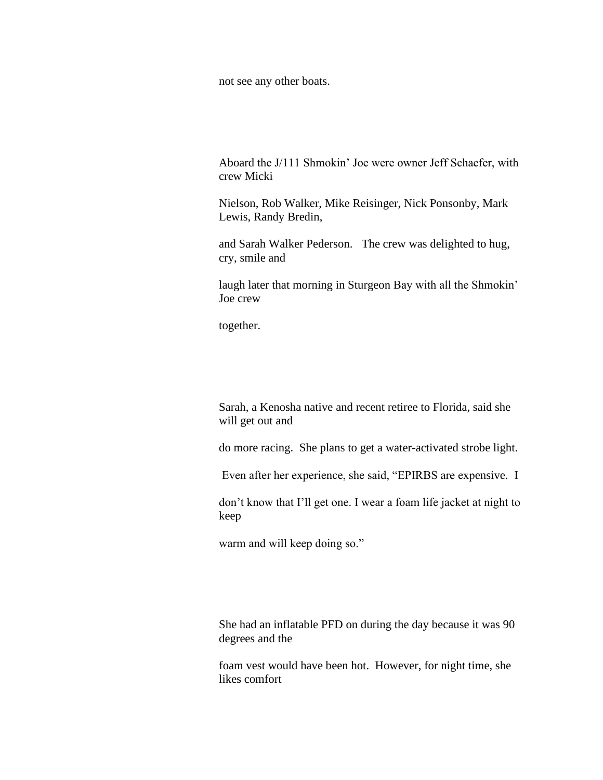not see any other boats.

Aboard the J/111 Shmokin' Joe were owner Jeff Schaefer, with crew Micki

Nielson, Rob Walker, Mike Reisinger, Nick Ponsonby, Mark Lewis, Randy Bredin,

and Sarah Walker Pederson. The crew was delighted to hug, cry, smile and

laugh later that morning in Sturgeon Bay with all the Shmokin' Joe crew

together.

Sarah, a Kenosha native and recent retiree to Florida, said she will get out and

do more racing. She plans to get a water-activated strobe light.

Even after her experience, she said, "EPIRBS are expensive. I

don't know that I'll get one. I wear a foam life jacket at night to keep

warm and will keep doing so."

She had an inflatable PFD on during the day because it was 90 degrees and the

foam vest would have been hot. However, for night time, she likes comfort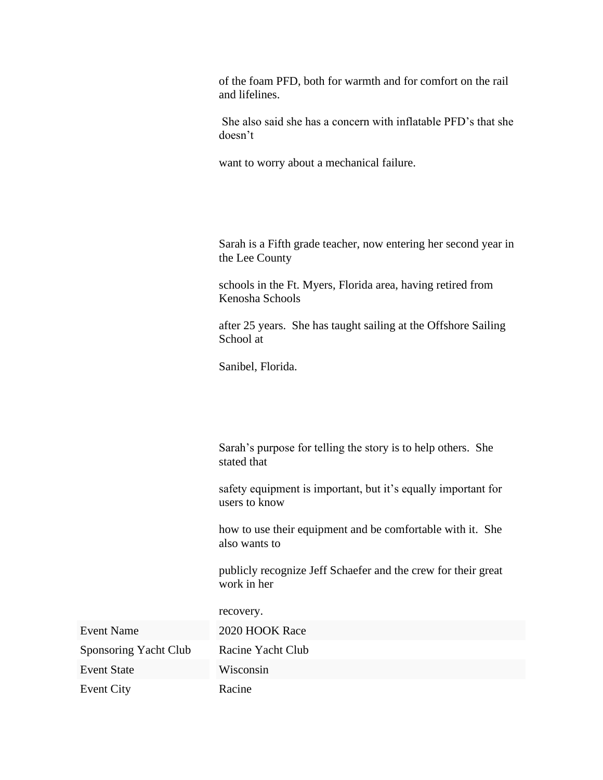of the foam PFD, both for warmth and for comfort on the rail and lifelines.

She also said she has a concern with inflatable PFD's that she doesn't

want to worry about a mechanical failure.

Sarah is a Fifth grade teacher, now entering her second year in the Lee County

schools in the Ft. Myers, Florida area, having retired from Kenosha Schools

after 25 years. She has taught sailing at the Offshore Sailing School at

Sanibel, Florida.

Sarah's purpose for telling the story is to help others. She stated that

safety equipment is important, but it's equally important for users to know

how to use their equipment and be comfortable with it. She also wants to

publicly recognize Jeff Schaefer and the crew for their great work in her

| Event Name            | 2020 HOOK Race    |
|-----------------------|-------------------|
| Sponsoring Yacht Club | Racine Yacht Club |
| Event State           | Wisconsin         |
| Event City            | Racine            |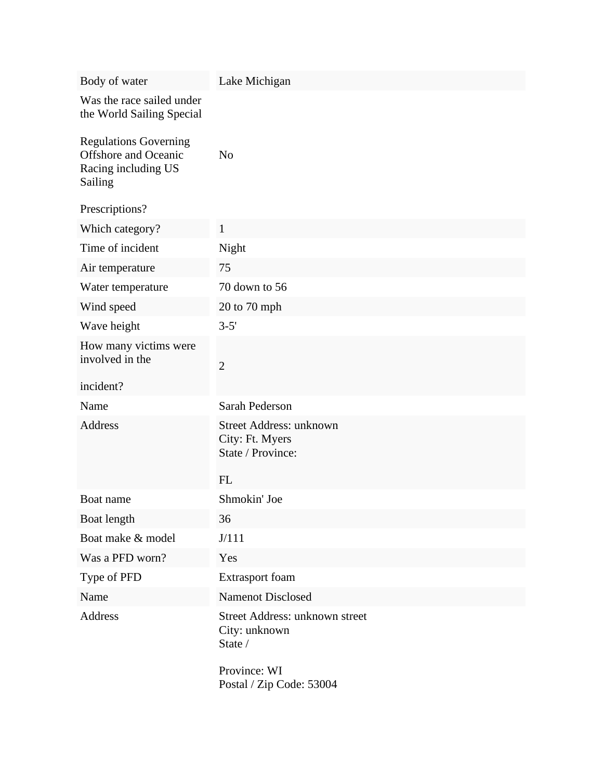| Body of water                                                                          | Lake Michigan                                                   |
|----------------------------------------------------------------------------------------|-----------------------------------------------------------------|
| Was the race sailed under<br>the World Sailing Special                                 |                                                                 |
| <b>Regulations Governing</b><br>Offshore and Oceanic<br>Racing including US<br>Sailing | N <sub>o</sub>                                                  |
| Prescriptions?                                                                         |                                                                 |
| Which category?                                                                        | $\mathbf{1}$                                                    |
| Time of incident                                                                       | Night                                                           |
| Air temperature                                                                        | 75                                                              |
| Water temperature                                                                      | 70 down to 56                                                   |
| Wind speed                                                                             | 20 to 70 mph                                                    |
| Wave height                                                                            | $3 - 5'$                                                        |
| How many victims were<br>involved in the                                               | $\overline{2}$                                                  |
| incident?                                                                              |                                                                 |
| Name                                                                                   | Sarah Pederson                                                  |
| <b>Address</b>                                                                         | Street Address: unknown<br>City: Ft. Myers<br>State / Province: |
|                                                                                        | FL                                                              |
| Boat name                                                                              | Shmokin' Joe                                                    |
| Boat length                                                                            | 36                                                              |
| Boat make & model                                                                      | J/111                                                           |
| Was a PFD worn?                                                                        | Yes                                                             |
| Type of PFD                                                                            | Extrasport foam                                                 |
| Name                                                                                   | <b>Namenot Disclosed</b>                                        |
| Address                                                                                | Street Address: unknown street<br>City: unknown<br>State /      |
|                                                                                        | Province: WI<br>Postal / Zip Code: 53004                        |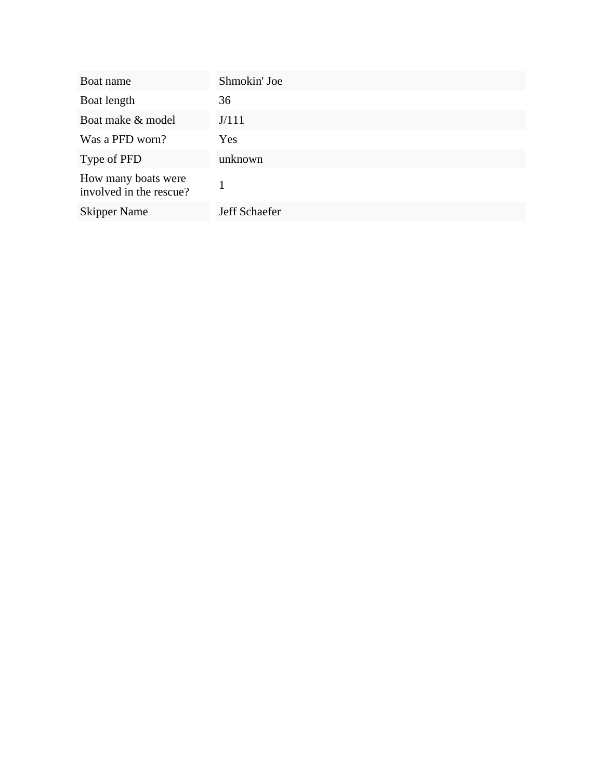| Boat name                                      | Shmokin' Joe  |
|------------------------------------------------|---------------|
| Boat length                                    | 36            |
| Boat make & model                              | J/111         |
| Was a PFD worn?                                | Yes           |
| Type of PFD                                    | unknown       |
| How many boats were<br>involved in the rescue? |               |
| <b>Skipper Name</b>                            | Jeff Schaefer |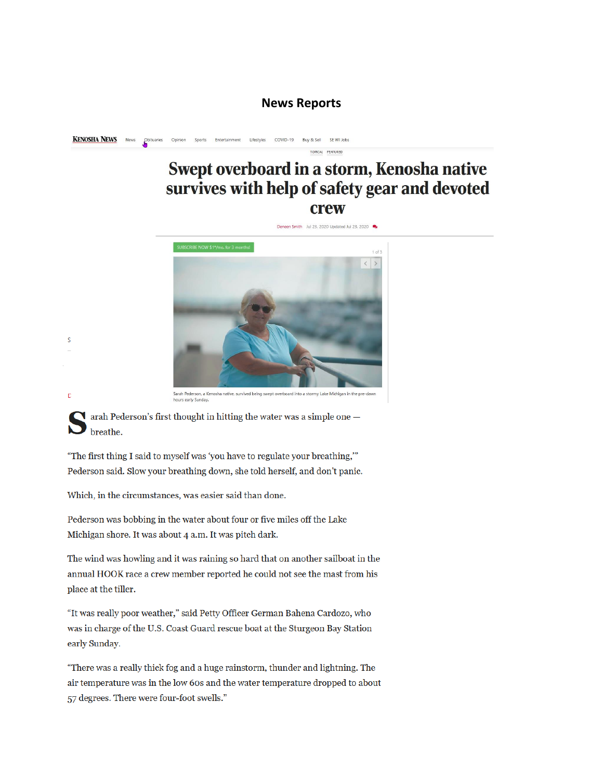#### **News Reports**

**KENOSHA NEWS** Lifestyles COVID-19 Buy & Sell SE WI Jobs

# Swept overboard in a storm, Kenosha native survives with help of safety gear and devoted **crew**

TOPICAL FEATURED



arah Pederson's first thought in hitting the water was a simple one  $$ breathe.

"The first thing I said to myself was 'you have to regulate your breathing," Pederson said. Slow your breathing down, she told herself, and don't panic.

Which, in the circumstances, was easier said than done.

S

 $\overline{D}$ 

Pederson was bobbing in the water about four or five miles off the Lake Michigan shore. It was about 4 a.m. It was pitch dark.

The wind was howling and it was raining so hard that on another sailboat in the annual HOOK race a crew member reported he could not see the mast from his place at the tiller.

"It was really poor weather," said Petty Officer German Bahena Cardozo, who was in charge of the U.S. Coast Guard rescue boat at the Sturgeon Bay Station early Sunday.

"There was a really thick fog and a huge rainstorm, thunder and lightning. The air temperature was in the low 60s and the water temperature dropped to about 57 degrees. There were four-foot swells."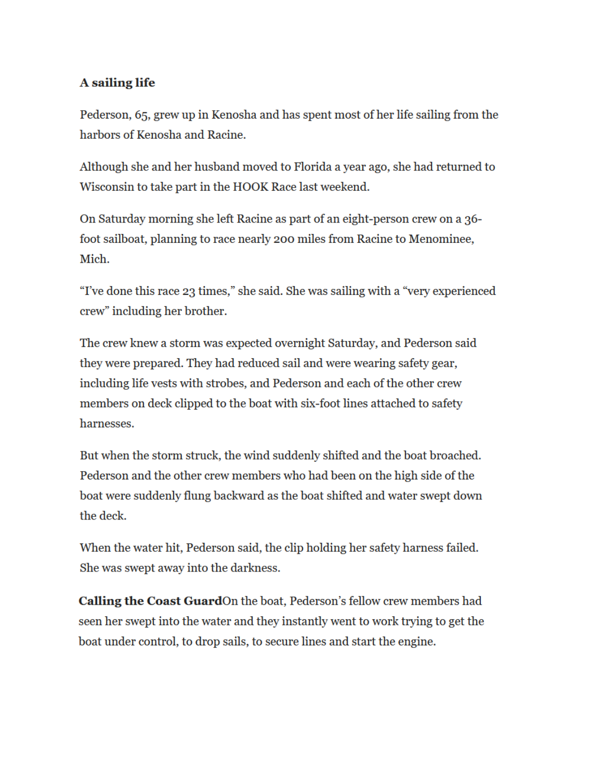## A sailing life

Pederson, 65, grew up in Kenosha and has spent most of her life sailing from the harbors of Kenosha and Racine.

Although she and her husband moved to Florida a year ago, she had returned to Wisconsin to take part in the HOOK Race last weekend.

On Saturday morning she left Racine as part of an eight-person crew on a 36foot sailboat, planning to race nearly 200 miles from Racine to Menominee, Mich.

"I've done this race 23 times," she said. She was sailing with a "very experienced" crew" including her brother.

The crew knew a storm was expected overnight Saturday, and Pederson said they were prepared. They had reduced sail and were wearing safety gear, including life vests with strobes, and Pederson and each of the other crew members on deck clipped to the boat with six-foot lines attached to safety harnesses.

But when the storm struck, the wind suddenly shifted and the boat broached. Pederson and the other crew members who had been on the high side of the boat were suddenly flung backward as the boat shifted and water swept down the deck.

When the water hit, Pederson said, the clip holding her safety harness failed. She was swept away into the darkness.

Calling the Coast GuardOn the boat, Pederson's fellow crew members had seen her swept into the water and they instantly went to work trying to get the boat under control, to drop sails, to secure lines and start the engine.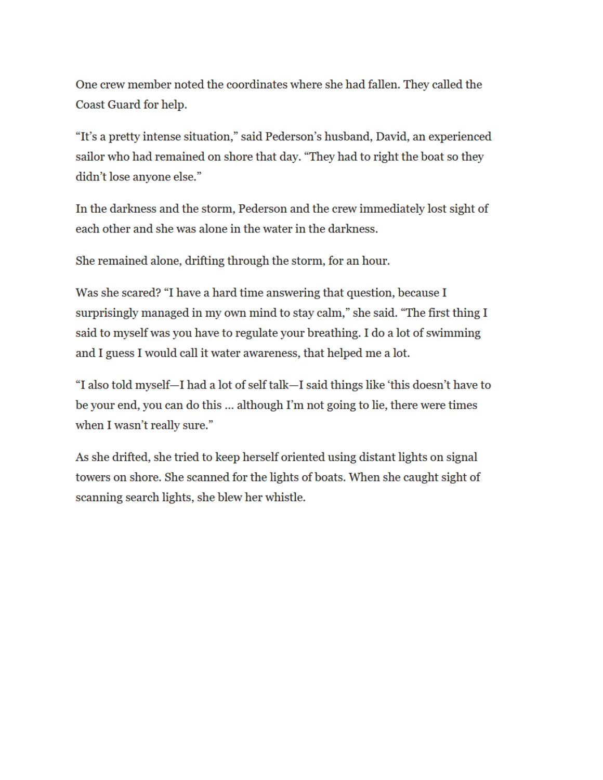One crew member noted the coordinates where she had fallen. They called the Coast Guard for help.

"It's a pretty intense situation," said Pederson's husband, David, an experienced sailor who had remained on shore that day. "They had to right the boat so they didn't lose anyone else."

In the darkness and the storm, Pederson and the crew immediately lost sight of each other and she was alone in the water in the darkness.

She remained alone, drifting through the storm, for an hour.

Was she scared? "I have a hard time answering that question, because I surprisingly managed in my own mind to stay calm," she said. "The first thing I said to myself was you have to regulate your breathing. I do a lot of swimming and I guess I would call it water awareness, that helped me a lot.

"I also told myself—I had a lot of self talk—I said things like 'this doesn't have to be your end, you can do this ... although I'm not going to lie, there were times when I wasn't really sure."

As she drifted, she tried to keep herself oriented using distant lights on signal towers on shore. She scanned for the lights of boats. When she caught sight of scanning search lights, she blew her whistle.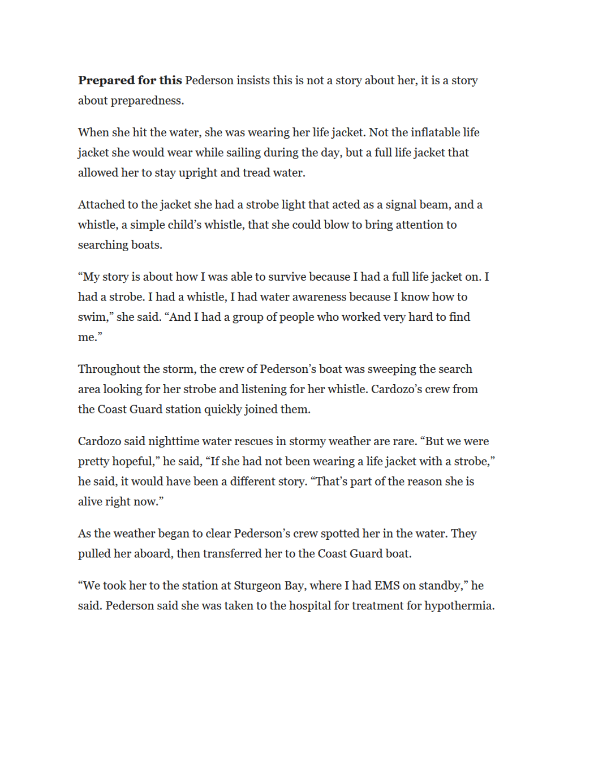**Prepared for this Pederson insists this is not a story about her, it is a story** about preparedness.

When she hit the water, she was wearing her life jacket. Not the inflatable life jacket she would wear while sailing during the day, but a full life jacket that allowed her to stay upright and tread water.

Attached to the jacket she had a strobe light that acted as a signal beam, and a whistle, a simple child's whistle, that she could blow to bring attention to searching boats.

"My story is about how I was able to survive because I had a full life jacket on. I had a strobe. I had a whistle, I had water awareness because I know how to swim," she said. "And I had a group of people who worked very hard to find me."

Throughout the storm, the crew of Pederson's boat was sweeping the search area looking for her strobe and listening for her whistle. Cardozo's crew from the Coast Guard station quickly joined them.

Cardozo said nighttime water rescues in stormy weather are rare. "But we were pretty hopeful," he said, "If she had not been wearing a life jacket with a strobe," he said, it would have been a different story. "That's part of the reason she is alive right now."

As the weather began to clear Pederson's crew spotted her in the water. They pulled her aboard, then transferred her to the Coast Guard boat.

"We took her to the station at Sturgeon Bay, where I had EMS on standby," he said. Pederson said she was taken to the hospital for treatment for hypothermia.